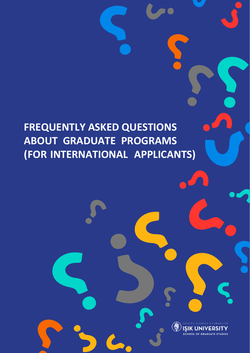# **FREQUENTLY ASKED QUESTIONS ABOUT GRADUATE PROGRAMS (FOR INTERNATIONAL APPLICANTS)**

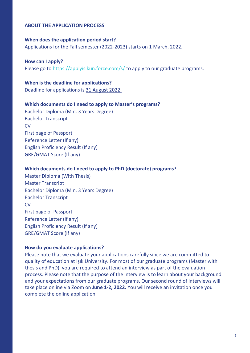# **ABOUT THE APPLICATION PROCESS**

#### **When does the application period start?**

Applications for the Fall semester (2022-2023) starts on 1 March, 2022.

## **How can I apply?**

Please go to https://applyisikun.force.com/s/ to apply to our graduate programs.

# **When is the deadline for applications?** Deadline for applications is 31 August 2022.

#### **Which documents do I need to apply to Master's programs?**

Bachelor Diploma (Min. 3 Years Degree) Bachelor Transcript **CV** First page of Passport Reference Letter (If any) English Proficiency Result (If any) GRE/GMAT Score (If any)

#### **Which documents do I need to apply to PhD (doctorate) programs?**

Master Diploma (With Thesis) Master Transcript Bachelor Diploma (Min. 3 Years Degree) Bachelor Transcript **CV** First page of Passport Reference Letter (If any) English Proficiency Result (If any) GRE/GMAT Score (If any)

#### **How do you evaluate applications?**

Please note that we evaluate your applications carefully since we are committed to quality of education at Işık University. For most of our graduate programs (Master with thesis and PhD), you are required to attend an interview as part of the evaluation process. Please note that the purpose of the interview is to learn about your background and your expectations from our graduate programs. Our second round of interviews will take place online via Zoom on **June 1-2, 2022.** You will receive an invitation once you complete the online application.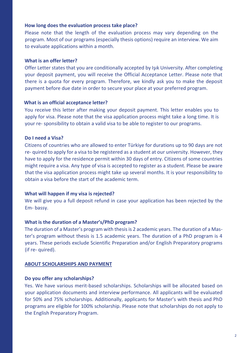## **How long does the evaluation process take place?**

Please note that the length of the evaluation process may vary depending on the program. Most of our programs (especially thesis options) require an interview. We aim to evaluate applications within a month.

## **What is an offer letter?**

Offer Letter states that you are conditionally accepted by Işık University. After completing your deposit payment, you will receive the Official Acceptance Letter. Please note that there is a quota for every program. Therefore, we kindly ask you to make the deposit payment before due date in order to secure your place at your preferred program.

# **What is an official acceptance letter?**

You receive this letter after making your deposit payment. This letter enables you to apply for visa. Please note that the visa application process might take a long time. It is your re- sponsibility to obtain a valid visa to be able to register to our programs.

# **Do I need a Visa?**

Citizens of countries who are allowed to enter Türkiye for durations up to 90 days are not re- quired to apply for a visa to be registered as a student at our university. However, they have to apply for the residence permit within 30 days of entry. Citizens of some countries might require a visa. Any type of visa is accepted to register as a student. Please be aware that the visa application process might take up several months. It is your responsibility to obtain a visa before the start of the academic term.

# **What will happen if my visa is rejected?**

We will give you a full deposit refund in case your application has been rejected by the Em- bassy.

# **What is the duration of a Master's/PhD program?**

The duration of a Master's program with thesis is 2 academic years. The duration of a Master's program without thesis is 1.5 academic years. The duration of a PhD program is 4 years. These periods exclude Scientific Preparation and/or English Preparatory programs (if re- quired).

## **ABOUT SCHOLARSHIPS AND PAYMENT**

## **Do you offer any scholarships?**

Yes. We have various merit-based scholarships. Scholarships will be allocated based on your application documents and interview performance. All applicants will be evaluated for 50% and 75% scholarships. Additionally, applicants for Master's with thesis and PhD programs are eligible for 100% scholarship. Please note that scholarships do not apply to the English Preparatory Program.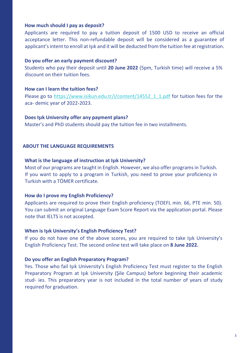## **How much should I pay as deposit?**

Applicants are required to pay a tuition deposit of 1500 USD to receive an official acceptance letter. This non-refundable deposit will be considered as a guarantee of applicant's intent to enroll at Işık and it will be deducted from the tuition fee at registration.

#### **Do you offer an early payment discount?**

Students who pay their deposit until **20 June 2022** (5pm, Turkish time) will receive a 5% discount on their tuition fees.

## **How can I learn the tuition fees?**

Please go to https:/[/www.isikun.edu.tr/i/content/14552\\_1\\_1.pdf](http://www.isikun.edu.tr/i/content/14552_1_1.pdf) [fo](http://www.isikun.edu.tr/i/content/14552_1_1.pdf)r tuition fees for the aca- demic year of 2022-2023.

#### **Does Işık University offer any payment plans?**

Master's and PhD students should pay the tuition fee in two installments.

#### **ABOUT THE LANGUAGE REQUIREMENTS**

#### **What is the language of instruction at Işık University?**

Most of our programs are taught in English. However, we also offer programs in Turkish. If you want to apply to a program in Turkish, you need to prove your proficiency in Turkish with a TÖMER certificate.

## **How do I prove my English Proficiency?**

Applicants are required to prove their English proficiency (TOEFL min. 66, PTE min. 50). You can submit an original Language Exam Score Report via the application portal. Please note that IELTS is not accepted.

#### **When is Işık University's English Proficiency Test?**

If you do not have one of the above scores, you are required to take Işık University's English Proficiency Test. The second online test will take place on **8 June 2022.**

## **Do you offer an English Preparatory Program?**

Yes. Those who fail Işık University's English Proficiency Test must register to the English Preparatory Program at Işık University (Şile Campus) before beginning their academic stud- ies. This preparatory year is not included in the total number of years of study required for graduation.